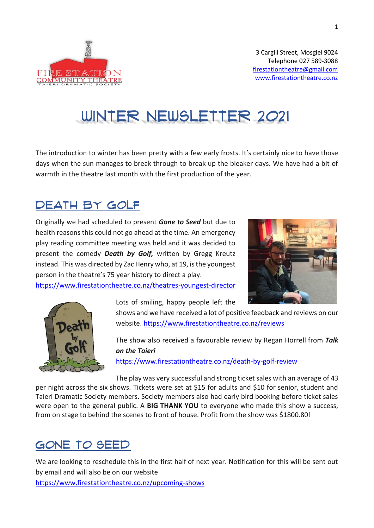

# WINTER NEWSLETTER 2021

The introduction to winter has been pretty with a few early frosts. It's certainly nice to have those days when the sun manages to break through to break up the bleaker days. We have had a bit of warmth in the theatre last month with the first production of the year.

## Death by Golf

Originally we had scheduled to present *Gone to Seed* but due to health reasons this could not go ahead at the time. An emergency play reading committee meeting was held and it was decided to present the comedy *Death by Golf,* written by Gregg Kreutz instead. This was directed by Zac Henry who, at 19, is the youngest person in the theatre's 75 year history to direct a play.



<https://www.firestationtheatre.co.nz/theatres-youngest-director>

Lots of smiling, happy people left the



shows and we have received a lot of positive feedback and reviews on our website.<https://www.firestationtheatre.co.nz/reviews>

The show also received a favourable review by Regan Horrell from *Talk on the Taieri*

<https://www.firestationtheatre.co.nz/death-by-golf-review>

The play was very successful and strong ticket sales with an average of 43 per night across the six shows. Tickets were set at \$15 for adults and \$10 for senior, student and Taieri Dramatic Society members. Society members also had early bird booking before ticket sales were open to the general public. A **BIG THANK YOU** to everyone who made this show a success, from on stage to behind the scenes to front of house. Profit from the show was \$1800.80!

## GONE TO SEED

We are looking to reschedule this in the first half of next year. Notification for this will be sent out by email and will also be on our website <https://www.firestationtheatre.co.nz/upcoming-shows>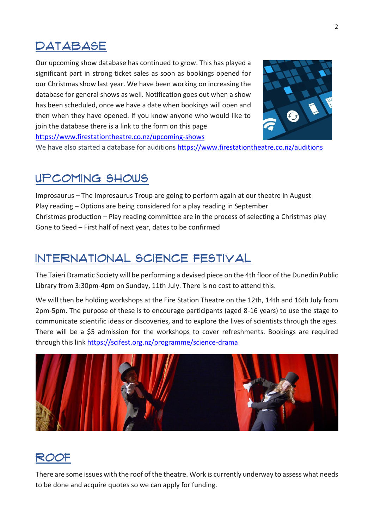## **DATABASE**

Our upcoming show database has continued to grow. This has played a significant part in strong ticket sales as soon as bookings opened for our Christmas show last year. We have been working on increasing the database for general shows as well. Notification goes out when a show has been scheduled, once we have a date when bookings will open and then when they have opened. If you know anyone who would like to join the database there is a link to the form on this page <https://www.firestationtheatre.co.nz/upcoming-shows>



We have also started a database for auditions<https://www.firestationtheatre.co.nz/auditions>

#### Upcoming Shows

Improsaurus – The Improsaurus Troup are going to perform again at our theatre in August Play reading – Options are being considered for a play reading in September Christmas production – Play reading committee are in the process of selecting a Christmas play Gone to Seed – First half of next year, dates to be confirmed

## International Science Festival

The Taieri Dramatic Society will be performing a devised piece on the 4th floor of the Dunedin Public Library from 3:30pm-4pm on Sunday, 11th July. There is no cost to attend this.

We will then be holding workshops at the Fire Station Theatre on the 12th, 14th and 16th July from 2pm-5pm. The purpose of these is to encourage participants (aged 8-16 years) to use the stage to communicate scientific ideas or discoveries, and to explore the lives of scientists through the ages. There will be a \$5 admission for the workshops to cover refreshments. Bookings are required through this link<https://scifest.org.nz/programme/science-drama>



#### Roof

There are some issues with the roof of the theatre. Work is currently underway to assess what needs to be done and acquire quotes so we can apply for funding.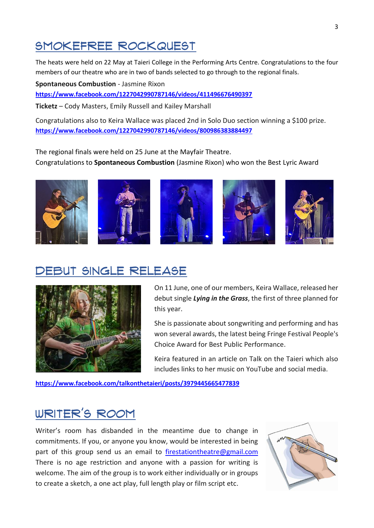## SMOKEFREE Rockquest

The heats were held on 22 May at Taieri College in the Performing Arts Centre. Congratulations to the four members of our theatre who are in two of bands selected to go through to the regional finals.

**Spontaneous Combustion** - Jasmine Rixon **<https://www.facebook.com/1227042990787146/videos/411496676490397>**

**Ticketz** – Cody Masters, Emily Russell and Kailey Marshall

Congratulations also to Keira Wallace was placed 2nd in Solo Duo section winning a \$100 prize. **<https://www.facebook.com/1227042990787146/videos/800986383884497>**

The regional finals were held on 25 June at the Mayfair Theatre. Congratulations to **Spontaneous Combustion** (Jasmine Rixon) who won the Best Lyric Award



## Debut Single Release



On 11 June, one of our members, Keira Wallace, released her debut single *Lying in the Grass*, the first of three planned for this year.

She is passionate about songwriting and performing and has won several awards, the latest being Fringe Festival People's Choice Award for Best Public Performance.

Keira featured in an article on Talk on the Taieri which also includes links to her music on YouTube and social media.

**<https://www.facebook.com/talkonthetaieri/posts/3979445665477839>**

# Writer's Room

Writer's room has disbanded in the meantime due to change in commitments. If you, or anyone you know, would be interested in being part of this group send us an email to [firestationtheatre@gmail.com](mailto:firestationtheatre@gmail.com) There is no age restriction and anyone with a passion for writing is welcome. The aim of the group is to work either individually or in groups to create a sketch, a one act play, full length play or film script etc.